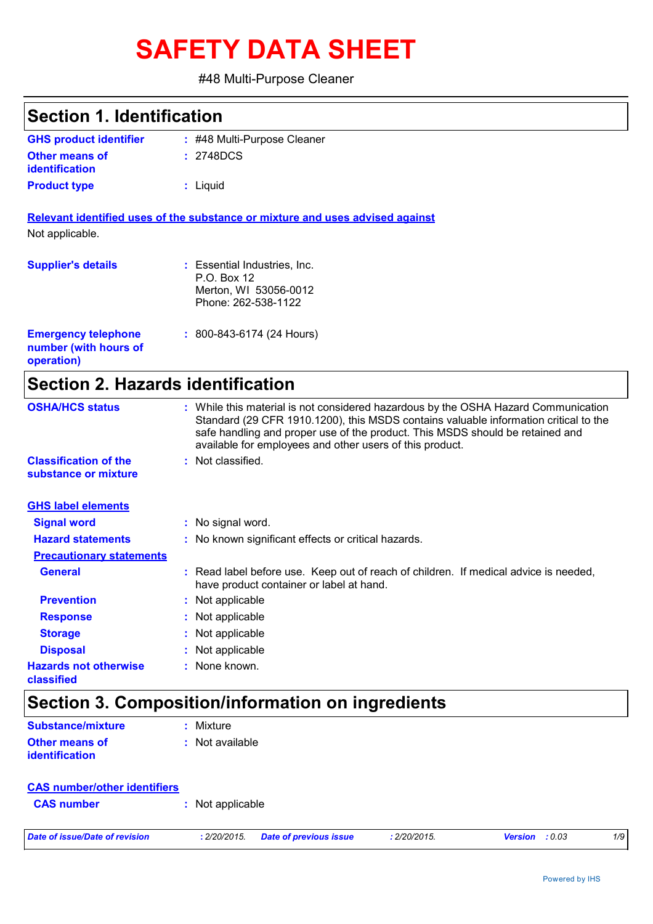# **SAFETY DATA SHEET**

#### #48 Multi-Purpose Cleaner

| <b>Section 1. Identification</b>                                  |                                                                                                                                                                                                                                                                                                                         |
|-------------------------------------------------------------------|-------------------------------------------------------------------------------------------------------------------------------------------------------------------------------------------------------------------------------------------------------------------------------------------------------------------------|
| <b>GHS product identifier</b>                                     | : #48 Multi-Purpose Cleaner                                                                                                                                                                                                                                                                                             |
| Other means of<br><b>identification</b>                           | : 2748DCS                                                                                                                                                                                                                                                                                                               |
| <b>Product type</b>                                               | : Liquid                                                                                                                                                                                                                                                                                                                |
|                                                                   | Relevant identified uses of the substance or mixture and uses advised against                                                                                                                                                                                                                                           |
| Not applicable.                                                   |                                                                                                                                                                                                                                                                                                                         |
| <b>Supplier's details</b>                                         | : Essential Industries, Inc.<br>P.O. Box 12<br>Merton, WI 53056-0012<br>Phone: 262-538-1122                                                                                                                                                                                                                             |
| <b>Emergency telephone</b><br>number (with hours of<br>operation) | $: 800 - 843 - 6174 (24$ Hours)                                                                                                                                                                                                                                                                                         |
| <b>Section 2. Hazards identification</b>                          |                                                                                                                                                                                                                                                                                                                         |
| <b>OSHA/HCS status</b>                                            | : While this material is not considered hazardous by the OSHA Hazard Communication<br>Standard (29 CFR 1910.1200), this MSDS contains valuable information critical to the<br>safe handling and proper use of the product. This MSDS should be retained and<br>available for employees and other users of this product. |
| <b>Classification of the</b><br>substance or mixture              | : Not classified.                                                                                                                                                                                                                                                                                                       |
| <b>GHS label elements</b>                                         |                                                                                                                                                                                                                                                                                                                         |
| <b>Signal word</b>                                                | : No signal word.                                                                                                                                                                                                                                                                                                       |
| <b>Hazard statements</b>                                          | : No known significant effects or critical hazards.                                                                                                                                                                                                                                                                     |
| <b>Precautionary statements</b>                                   |                                                                                                                                                                                                                                                                                                                         |
| <b>General</b>                                                    | : Read label before use. Keep out of reach of children. If medical advice is needed,<br>have product container or label at hand.                                                                                                                                                                                        |
| <b>Prevention</b>                                                 | : Not applicable                                                                                                                                                                                                                                                                                                        |
| <b>Response</b>                                                   | : Not applicable                                                                                                                                                                                                                                                                                                        |
| <b>Storage</b>                                                    | Not applicable                                                                                                                                                                                                                                                                                                          |
| <b>Disposal</b>                                                   | : Not applicable                                                                                                                                                                                                                                                                                                        |

# **Section 3. Composition/information on ingredients**

**:** None known.

| Substance/mixture     | : Mixture         |
|-----------------------|-------------------|
| Other means of        | $:$ Not available |
| <b>identification</b> |                   |

**Hazards not otherwise** 

**classified**

| <b>CAS number/other identifiers</b> |                                        |              |                          |     |  |
|-------------------------------------|----------------------------------------|--------------|--------------------------|-----|--|
| <b>CAS number</b>                   | : Not applicable                       |              |                          |     |  |
| Date of issue/Date of revision      | Date of previous issue<br>: 2/20/2015. | : 2/20/2015. | : 0.03<br><b>Version</b> | 1/9 |  |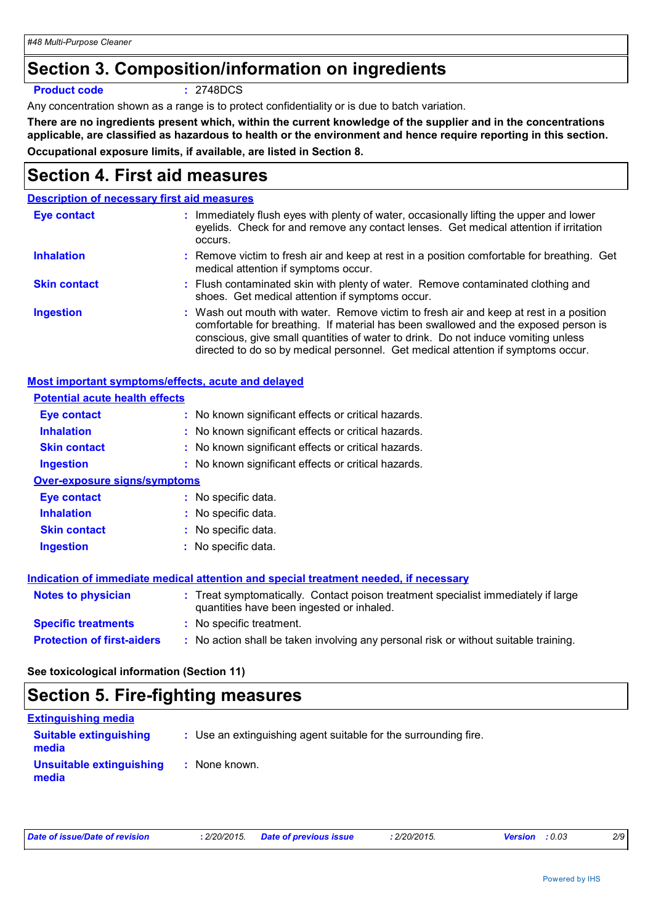# **Section 3. Composition/information on ingredients**

#### **Product code :** 2748DCS

Any concentration shown as a range is to protect confidentiality or is due to batch variation.

**There are no ingredients present which, within the current knowledge of the supplier and in the concentrations applicable, are classified as hazardous to health or the environment and hence require reporting in this section. Occupational exposure limits, if available, are listed in Section 8.**

# **Section 4. First aid measures**

#### **Description of necessary first aid measures**

| Eye contact         | : Immediately flush eyes with plenty of water, occasionally lifting the upper and lower<br>eyelids. Check for and remove any contact lenses. Get medical attention if irritation<br>occurs.                                                                                                                                                            |
|---------------------|--------------------------------------------------------------------------------------------------------------------------------------------------------------------------------------------------------------------------------------------------------------------------------------------------------------------------------------------------------|
| <b>Inhalation</b>   | : Remove victim to fresh air and keep at rest in a position comfortable for breathing. Get<br>medical attention if symptoms occur.                                                                                                                                                                                                                     |
| <b>Skin contact</b> | : Flush contaminated skin with plenty of water. Remove contaminated clothing and<br>shoes. Get medical attention if symptoms occur.                                                                                                                                                                                                                    |
| <b>Ingestion</b>    | : Wash out mouth with water. Remove victim to fresh air and keep at rest in a position<br>comfortable for breathing. If material has been swallowed and the exposed person is<br>conscious, give small quantities of water to drink. Do not induce vomiting unless<br>directed to do so by medical personnel. Get medical attention if symptoms occur. |

#### **Most important symptoms/effects, acute and delayed**

| <b>Potential acute health effects</b> |                                                                                                                                |
|---------------------------------------|--------------------------------------------------------------------------------------------------------------------------------|
| Eye contact                           | : No known significant effects or critical hazards.                                                                            |
| <b>Inhalation</b>                     | : No known significant effects or critical hazards.                                                                            |
| <b>Skin contact</b>                   | : No known significant effects or critical hazards.                                                                            |
| Ingestion                             | : No known significant effects or critical hazards.                                                                            |
| <b>Over-exposure signs/symptoms</b>   |                                                                                                                                |
| Eye contact                           | : No specific data.                                                                                                            |
| <b>Inhalation</b>                     | : No specific data.                                                                                                            |
| <b>Skin contact</b>                   | $:$ No specific data.                                                                                                          |
| Ingestion                             | : No specific data.                                                                                                            |
|                                       |                                                                                                                                |
|                                       | Indication of immediate medical attention and special treatment needed, if necessary                                           |
| <b>Notes to physician</b>             | : Treat symptomatically. Contact poison treatment specialist immediately if large<br>quantities have been ingested or inhaled. |
| <b>Specific treatments</b>            | : No specific treatment.                                                                                                       |
| <b>Protection of first-aiders</b>     | : No action shall be taken involving any personal risk or without suitable training.                                           |

**See toxicological information (Section 11)**

# **Section 5. Fire-fighting measures**

| <b>Extinguishing media</b>             |                                                                 |
|----------------------------------------|-----------------------------------------------------------------|
| <b>Suitable extinguishing</b><br>media | : Use an extinguishing agent suitable for the surrounding fire. |
| Unsuitable extinguishing<br>media      | None known.                                                     |

| Date of issue/Date of revision | : 2/20/2015. | <b>Date of previous issue</b> | 2/20/2015. | <b>Version</b> : 0.03 | 2/9 |
|--------------------------------|--------------|-------------------------------|------------|-----------------------|-----|
|                                |              |                               |            |                       |     |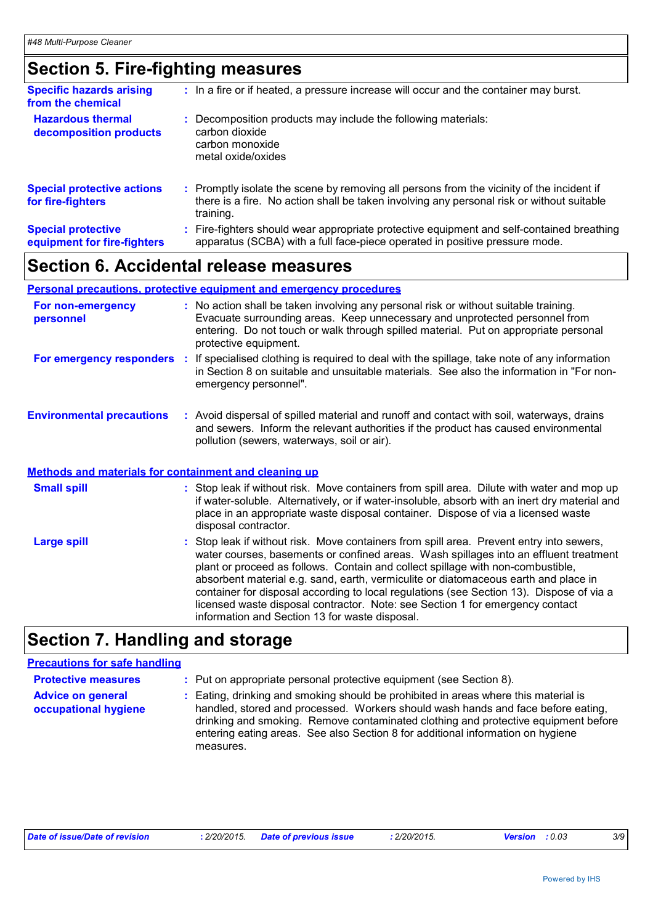# **Section 5. Fire-fighting measures**

| <b>Specific hazards arising</b><br>from the chemical     | : In a fire or if heated, a pressure increase will occur and the container may burst.                                                                                                               |
|----------------------------------------------------------|-----------------------------------------------------------------------------------------------------------------------------------------------------------------------------------------------------|
| <b>Hazardous thermal</b><br>decomposition products       | Decomposition products may include the following materials:<br>carbon dioxide<br>carbon monoxide<br>metal oxide/oxides                                                                              |
| <b>Special protective actions</b><br>for fire-fighters   | : Promptly isolate the scene by removing all persons from the vicinity of the incident if<br>there is a fire. No action shall be taken involving any personal risk or without suitable<br>training. |
| <b>Special protective</b><br>equipment for fire-fighters | Fire-fighters should wear appropriate protective equipment and self-contained breathing<br>apparatus (SCBA) with a full face-piece operated in positive pressure mode.                              |

# **Section 6. Accidental release measures**

#### **Personal precautions, protective equipment and emergency procedures**

| For non-emergency<br>personnel                               | : No action shall be taken involving any personal risk or without suitable training.<br>Evacuate surrounding areas. Keep unnecessary and unprotected personnel from<br>entering. Do not touch or walk through spilled material. Put on appropriate personal<br>protective equipment. |
|--------------------------------------------------------------|--------------------------------------------------------------------------------------------------------------------------------------------------------------------------------------------------------------------------------------------------------------------------------------|
| For emergency responders                                     | If specialised clothing is required to deal with the spillage, take note of any information<br>in Section 8 on suitable and unsuitable materials. See also the information in "For non-<br>emergency personnel".                                                                     |
| <b>Environmental precautions</b>                             | : Avoid dispersal of spilled material and runoff and contact with soil, waterways, drains<br>and sewers. Inform the relevant authorities if the product has caused environmental<br>pollution (sewers, waterways, soil or air).                                                      |
| <b>Methods and materials for containment and cleaning up</b> |                                                                                                                                                                                                                                                                                      |
| <b>Small spill</b>                                           | : Stop leak if without risk. Move containers from spill area. Dilute with water and mop up<br>if water-soluble. Alternatively, or if water-insoluble, absorb with an inert dry material and<br>place in an appropriate waste disposal container. Dispose of via a licensed waste     |

|             | disposal contractor.                                                                                                                                                                                                                                                                                                                                                                                                                                                                                                                                                                       |
|-------------|--------------------------------------------------------------------------------------------------------------------------------------------------------------------------------------------------------------------------------------------------------------------------------------------------------------------------------------------------------------------------------------------------------------------------------------------------------------------------------------------------------------------------------------------------------------------------------------------|
| Large spill | : Stop leak if without risk. Move containers from spill area. Prevent entry into sewers,<br>water courses, basements or confined areas. Wash spillages into an effluent treatment<br>plant or proceed as follows. Contain and collect spillage with non-combustible,<br>absorbent material e.g. sand, earth, vermiculite or diatomaceous earth and place in<br>container for disposal according to local regulations (see Section 13). Dispose of via a<br>licensed waste disposal contractor. Note: see Section 1 for emergency contact<br>information and Section 13 for waste disposal. |
|             |                                                                                                                                                                                                                                                                                                                                                                                                                                                                                                                                                                                            |

# **Section 7. Handling and storage**

#### **Precautions for safe handling**

| <b>Protective measures</b>                       | : Put on appropriate personal protective equipment (see Section 8).                                                                                                                                                                                                                                                                                         |
|--------------------------------------------------|-------------------------------------------------------------------------------------------------------------------------------------------------------------------------------------------------------------------------------------------------------------------------------------------------------------------------------------------------------------|
| <b>Advice on general</b><br>occupational hygiene | Eating, drinking and smoking should be prohibited in areas where this material is<br>handled, stored and processed. Workers should wash hands and face before eating,<br>drinking and smoking. Remove contaminated clothing and protective equipment before<br>entering eating areas. See also Section 8 for additional information on hygiene<br>measures. |

| Date of issue/Date of revision |  | : 2/20/2015. Date of previous issue | : 2/20/2015. | <b>Version</b> : 0.03 |  |
|--------------------------------|--|-------------------------------------|--------------|-----------------------|--|
|--------------------------------|--|-------------------------------------|--------------|-----------------------|--|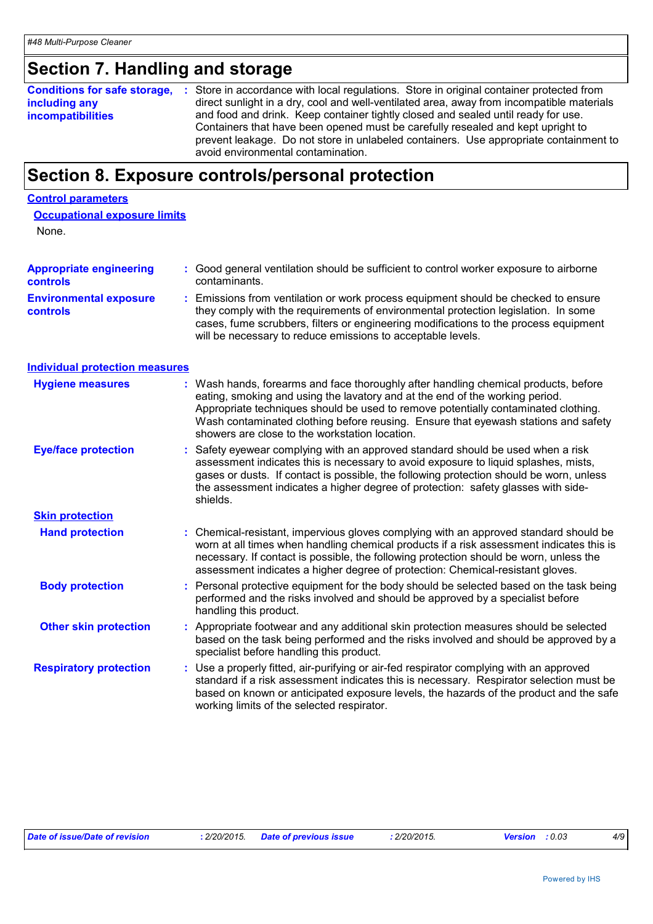# **Section 7. Handling and storage**

|                          | <b>Conditions for safe storage, :</b> Store in accordance with local regulations. Store in original container protected from |
|--------------------------|------------------------------------------------------------------------------------------------------------------------------|
| including any            | direct sunlight in a dry, cool and well-ventilated area, away from incompatible materials                                    |
| <b>incompatibilities</b> | and food and drink. Keep container tightly closed and sealed until ready for use.                                            |
|                          | Containers that have been opened must be carefully resealed and kept upright to                                              |
|                          | prevent leakage. Do not store in unlabeled containers. Use appropriate containment to                                        |
|                          | avoid environmental contamination.                                                                                           |

# **Section 8. Exposure controls/personal protection**

#### **Control parameters**

| <b>Occupational exposure limits</b> |  |  |
|-------------------------------------|--|--|
|                                     |  |  |

None.

| <b>Appropriate engineering</b><br><b>controls</b> | : Good general ventilation should be sufficient to control worker exposure to airborne<br>contaminants.                                                                                                                                                                                                                                                                                           |
|---------------------------------------------------|---------------------------------------------------------------------------------------------------------------------------------------------------------------------------------------------------------------------------------------------------------------------------------------------------------------------------------------------------------------------------------------------------|
| <b>Environmental exposure</b><br>controls         | Emissions from ventilation or work process equipment should be checked to ensure<br>they comply with the requirements of environmental protection legislation. In some<br>cases, fume scrubbers, filters or engineering modifications to the process equipment<br>will be necessary to reduce emissions to acceptable levels.                                                                     |
| <b>Individual protection measures</b>             |                                                                                                                                                                                                                                                                                                                                                                                                   |
| <b>Hygiene measures</b>                           | : Wash hands, forearms and face thoroughly after handling chemical products, before<br>eating, smoking and using the lavatory and at the end of the working period.<br>Appropriate techniques should be used to remove potentially contaminated clothing.<br>Wash contaminated clothing before reusing. Ensure that eyewash stations and safety<br>showers are close to the workstation location. |
| <b>Eye/face protection</b>                        | Safety eyewear complying with an approved standard should be used when a risk<br>assessment indicates this is necessary to avoid exposure to liquid splashes, mists,<br>gases or dusts. If contact is possible, the following protection should be worn, unless<br>the assessment indicates a higher degree of protection: safety glasses with side-<br>shields.                                  |
| <b>Skin protection</b>                            |                                                                                                                                                                                                                                                                                                                                                                                                   |
| <b>Hand protection</b>                            | : Chemical-resistant, impervious gloves complying with an approved standard should be<br>worn at all times when handling chemical products if a risk assessment indicates this is<br>necessary. If contact is possible, the following protection should be worn, unless the<br>assessment indicates a higher degree of protection: Chemical-resistant gloves.                                     |
| <b>Body protection</b>                            | Personal protective equipment for the body should be selected based on the task being<br>performed and the risks involved and should be approved by a specialist before<br>handling this product.                                                                                                                                                                                                 |
| <b>Other skin protection</b>                      | : Appropriate footwear and any additional skin protection measures should be selected<br>based on the task being performed and the risks involved and should be approved by a<br>specialist before handling this product.                                                                                                                                                                         |
| <b>Respiratory protection</b>                     | Use a properly fitted, air-purifying or air-fed respirator complying with an approved<br>standard if a risk assessment indicates this is necessary. Respirator selection must be<br>based on known or anticipated exposure levels, the hazards of the product and the safe<br>working limits of the selected respirator.                                                                          |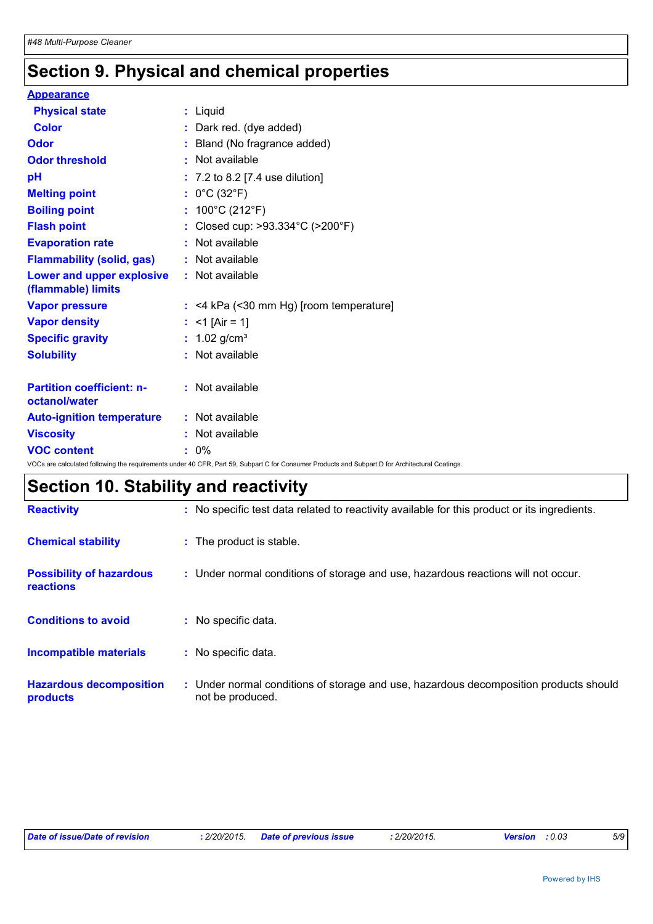# **Section 9. Physical and chemical properties**

| <b>Appearance</b>                                 |                                                                                                                                                 |
|---------------------------------------------------|-------------------------------------------------------------------------------------------------------------------------------------------------|
| <b>Physical state</b>                             | : Liquid                                                                                                                                        |
| <b>Color</b>                                      | : Dark red. (dye added)                                                                                                                         |
| <b>Odor</b>                                       | : Bland (No fragrance added)                                                                                                                    |
| <b>Odor threshold</b>                             | : Not available                                                                                                                                 |
| pH                                                | $: 7.2$ to 8.2 [7.4 use dilution]                                                                                                               |
| <b>Melting point</b>                              | : $0^{\circ}$ C (32 $^{\circ}$ F)                                                                                                               |
| <b>Boiling point</b>                              | : $100^{\circ}$ C (212 $^{\circ}$ F)                                                                                                            |
| <b>Flash point</b>                                | : Closed cup: >93.334°C (>200°F)                                                                                                                |
| <b>Evaporation rate</b>                           | : Not available                                                                                                                                 |
| <b>Flammability (solid, gas)</b>                  | : Not available                                                                                                                                 |
| Lower and upper explosive<br>(flammable) limits   | : Not available                                                                                                                                 |
| <b>Vapor pressure</b>                             | $:$ <4 kPa (<30 mm Hg) [room temperature]                                                                                                       |
| <b>Vapor density</b>                              | : $<$ 1 [Air = 1]                                                                                                                               |
| <b>Specific gravity</b>                           | : $1.02$ g/cm <sup>3</sup>                                                                                                                      |
| <b>Solubility</b>                                 | : Not available                                                                                                                                 |
| <b>Partition coefficient: n-</b><br>octanol/water | : Not available                                                                                                                                 |
| <b>Auto-ignition temperature</b>                  | : Not available                                                                                                                                 |
| <b>Viscosity</b>                                  | : Not available                                                                                                                                 |
| <b>VOC content</b>                                | $: 0\%$                                                                                                                                         |
|                                                   | VOCs are calculated following the requirements under 40 CFR, Part 59, Subpart C for Consumer Products and Subpart D for Architectural Coatings. |

# **Section 10. Stability and reactivity**

| <b>Reactivity</b>                            | : No specific test data related to reactivity available for this product or its ingredients.              |
|----------------------------------------------|-----------------------------------------------------------------------------------------------------------|
| <b>Chemical stability</b>                    | : The product is stable.                                                                                  |
| <b>Possibility of hazardous</b><br>reactions | : Under normal conditions of storage and use, hazardous reactions will not occur.                         |
| <b>Conditions to avoid</b>                   | : No specific data.                                                                                       |
| Incompatible materials                       | : No specific data.                                                                                       |
| <b>Hazardous decomposition</b><br>products   | : Under normal conditions of storage and use, hazardous decomposition products should<br>not be produced. |

| Date of issue/Date of revision | : 2/20/2015. Date of previous issue | 2/20/2015. | <b>Version</b> : 0.03 | 5/9 |
|--------------------------------|-------------------------------------|------------|-----------------------|-----|
|--------------------------------|-------------------------------------|------------|-----------------------|-----|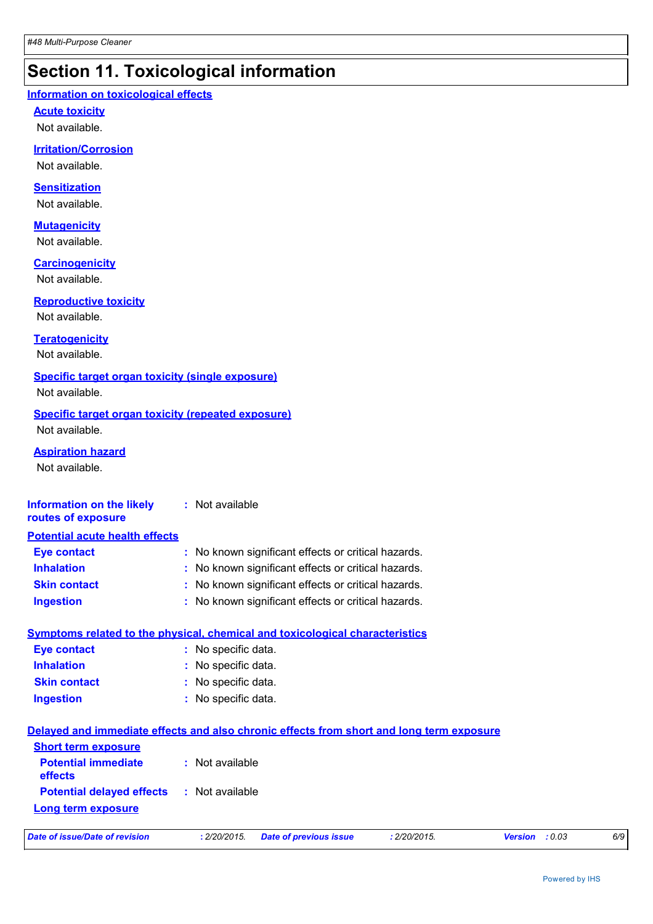# **Section 11. Toxicological information**

#### **Information on toxicological effects**

**Acute toxicity**

Not available.

#### **Irritation/Corrosion**

Not available.

#### **Sensitization**

Not available.

### **Mutagenicity**

Not available.

#### **Carcinogenicity**

Not available.

#### **Reproductive toxicity**

Not available.

#### **Teratogenicity**

Not available.

#### **Specific target organ toxicity (single exposure)**

Not available.

#### **Specific target organ toxicity (repeated exposure)** Not available.

#### **Aspiration hazard**

Not available.

#### **Information on the likely routes of exposure :** Not available

| <b>Potential acute health effects</b> |                                                     |  |
|---------------------------------------|-----------------------------------------------------|--|
| <b>Eye contact</b>                    | : No known significant effects or critical hazards. |  |
| <b>Inhalation</b>                     | : No known significant effects or critical hazards. |  |
| <b>Skin contact</b>                   | : No known significant effects or critical hazards. |  |
| <b>Ingestion</b>                      | : No known significant effects or critical hazards. |  |

|                     | Symptoms related to the physical, chemical and toxicological characteristics |
|---------------------|------------------------------------------------------------------------------|
| Eye contact         | : No specific data.                                                          |
| <b>Inhalation</b>   | : No specific data.                                                          |
| <b>Skin contact</b> | : No specific data.                                                          |
| <b>Ingestion</b>    | : No specific data.                                                          |
|                     |                                                                              |

| Delayed and immediate effects and also chronic effects from short and long term exposure |                 |                               |              |                       |     |
|------------------------------------------------------------------------------------------|-----------------|-------------------------------|--------------|-----------------------|-----|
| <b>Short term exposure</b><br><b>Potential immediate</b>                                 | : Not available |                               |              |                       |     |
| <b>effects</b><br><b>Potential delayed effects : Not available</b>                       |                 |                               |              |                       |     |
| <b>Long term exposure</b>                                                                |                 |                               |              |                       |     |
| Date of issue/Date of revision                                                           | : 2/20/2015.    | <b>Date of previous issue</b> | : 2/20/2015. | <b>Version</b> : 0.03 | 6/9 |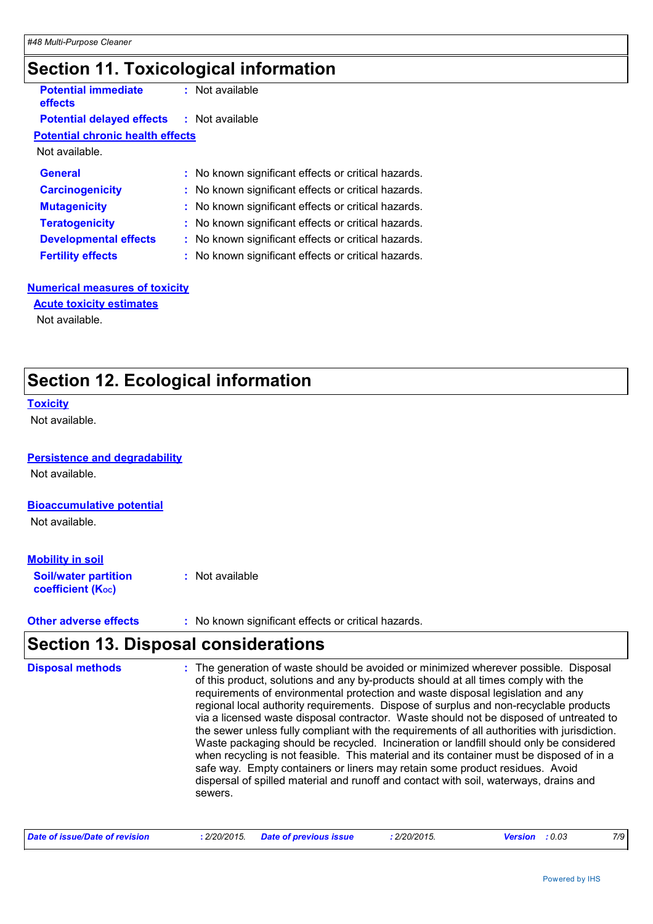# **Section 11. Toxicological information**

| <b>Potential immediate</b><br>effects            | : Not available                                     |
|--------------------------------------------------|-----------------------------------------------------|
| <b>Potential delayed effects : Not available</b> |                                                     |
| <b>Potential chronic health effects</b>          |                                                     |
| Not available.                                   |                                                     |
| <b>General</b>                                   | : No known significant effects or critical hazards. |
| <b>Carcinogenicity</b>                           | : No known significant effects or critical hazards. |
| <b>Mutagenicity</b>                              | : No known significant effects or critical hazards. |
| <b>Teratogenicity</b>                            | : No known significant effects or critical hazards. |
| <b>Developmental effects</b>                     | : No known significant effects or critical hazards. |
| <b>Fertility effects</b>                         | : No known significant effects or critical hazards. |
|                                                  |                                                     |

#### **Numerical measures of toxicity**

Not available. **Acute toxicity estimates**

# **Section 12. Ecological information**

#### **Toxicity**

Not available.

#### **Persistence and degradability**

Not available.

#### **Bioaccumulative potential**

Not available.

#### **Mobility in soil**

| <b>Soil/water partition</b> | : Not available |
|-----------------------------|-----------------|
| <b>coefficient (Koc)</b>    |                 |

**Other adverse effects** : No known significant effects or critical hazards.

## **Section 13. Disposal considerations**

| <b>Disposal methods</b> | The generation of waste should be avoided or minimized wherever possible. Disposal<br>of this product, solutions and any by-products should at all times comply with the<br>requirements of environmental protection and waste disposal legislation and any<br>regional local authority requirements. Dispose of surplus and non-recyclable products<br>via a licensed waste disposal contractor. Waste should not be disposed of untreated to<br>the sewer unless fully compliant with the requirements of all authorities with jurisdiction.<br>Waste packaging should be recycled. Incineration or landfill should only be considered<br>when recycling is not feasible. This material and its container must be disposed of in a<br>safe way. Empty containers or liners may retain some product residues. Avoid<br>dispersal of spilled material and runoff and contact with soil, waterways, drains and<br>sewers. |
|-------------------------|--------------------------------------------------------------------------------------------------------------------------------------------------------------------------------------------------------------------------------------------------------------------------------------------------------------------------------------------------------------------------------------------------------------------------------------------------------------------------------------------------------------------------------------------------------------------------------------------------------------------------------------------------------------------------------------------------------------------------------------------------------------------------------------------------------------------------------------------------------------------------------------------------------------------------|
|                         |                                                                                                                                                                                                                                                                                                                                                                                                                                                                                                                                                                                                                                                                                                                                                                                                                                                                                                                          |

| Date of issue/Date of revision | : 2/20/2015. Date of previous issue | : 2/20/2015. | <b>Version</b> : 0.03 |  |
|--------------------------------|-------------------------------------|--------------|-----------------------|--|
|--------------------------------|-------------------------------------|--------------|-----------------------|--|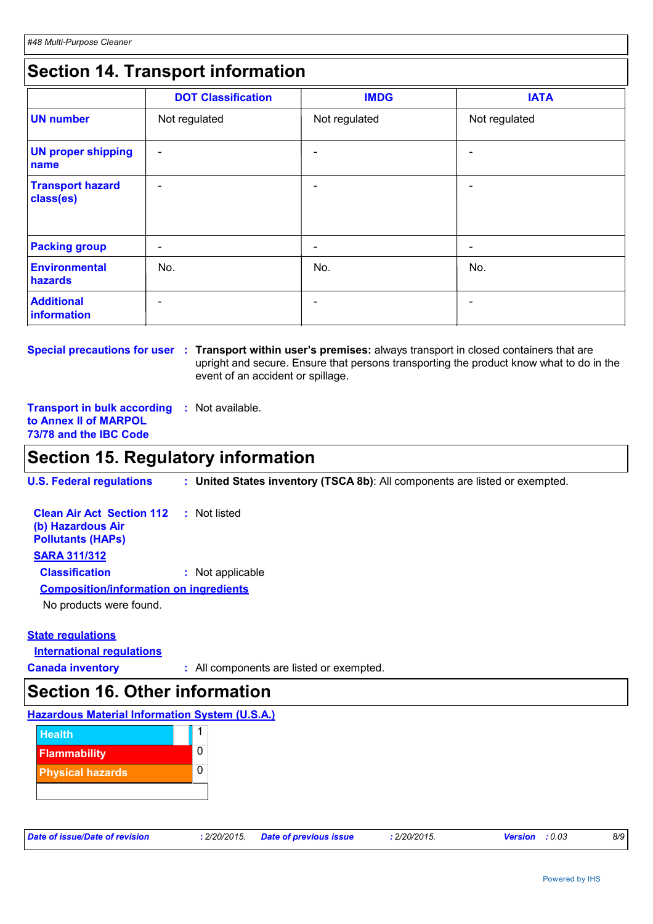# **Section 14. Transport information**

|                                      | <b>DOT Classification</b> | <b>IMDG</b>              | <b>IATA</b>              |
|--------------------------------------|---------------------------|--------------------------|--------------------------|
| <b>UN number</b>                     | Not regulated             | Not regulated            | Not regulated            |
| <b>UN proper shipping</b><br>name    | $\overline{\phantom{a}}$  |                          | $\overline{\phantom{0}}$ |
| <b>Transport hazard</b><br>class(es) | $\overline{\phantom{a}}$  | $\overline{\phantom{0}}$ | $\overline{\phantom{0}}$ |
| <b>Packing group</b>                 | $\overline{\phantom{a}}$  | $\overline{\phantom{0}}$ | -                        |
| <b>Environmental</b><br>hazards      | No.                       | No.                      | No.                      |
| <b>Additional</b><br>information     | $\overline{\phantom{a}}$  |                          |                          |

**Special precautions for user** : Transport within user's premises: always transport in closed containers that are upright and secure. Ensure that persons transporting the product know what to do in the event of an accident or spillage.

**Transport in bulk according :** Not available. **to Annex II of MARPOL 73/78 and the IBC Code**

## **Section 15. Regulatory information**

**U.S. Federal regulations : United States inventory (TSCA 8b)**: All components are listed or exempted.

| <b>Clean Air Act Section 112 : Not listed</b><br>(b) Hazardous Air<br><b>Pollutants (HAPS)</b> |                  |
|------------------------------------------------------------------------------------------------|------------------|
| <b>SARA 311/312</b>                                                                            |                  |
| <b>Classification</b>                                                                          | : Not applicable |
| <b>Composition/information on ingredients</b>                                                  |                  |
| No products were found.                                                                        |                  |

#### **State regulations**

**International regulations**

**Canada inventory :** All components are listed or exempted.

## **Section 16. Other information**

#### **Hazardous Material Information System (U.S.A.)**



| Date of issue/Date of revision |  |  |  |  |  |  |
|--------------------------------|--|--|--|--|--|--|
|--------------------------------|--|--|--|--|--|--|

*Date of issue/Date of revision* **:** *2/20/2015. Date of previous issue : 2/20/2015. Version : 0.03 8/9*